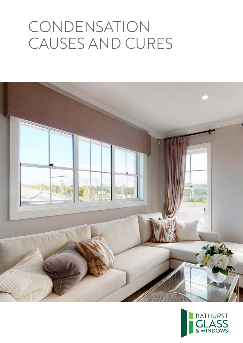# CONDENSATION CAUSES AND CURES



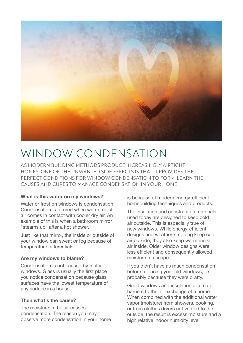

# WINDOW CONDENSATION

AS MODERN BUILDING METHODS PRODUCE INCREASINGLY AIRTIGHT HOMES, ONE OF THE UNWANTED SIDE EFFECTS IS THAT IT PROVIDES THE PERFECT CONDITIONS FOR WINDOW CONDENSATION TO FORM. LEARN THE CAUSES AND CURES TO MANAGE CONDENSATION IN YOUR HOME.

## What is this water on my windows?

Water or frost on windows is condensation Condensation is formed when warm moist air comes in contact with cooler dry air. An example of this is when a bathroom mirror "steams up" after a hot shower.

Just like that mirror, the inside or outside of your window can sweat or fog because of temperature differentials.

#### Are my windows to blame?

Condensation is not caused by faulty windows. Glass is usually the first place you notice condensation because glass surfaces have the lowest temperature of any surface in a house.

# Then what's the cause?

The moisture in the air causes condensation. The reason you may observe more condensation in your home is because of modern energy-efficient homebuilding techniques and products.

The insulation and construction materials used today are designed to keep cold air outside. This is especially true of new windows. While energy-efficient designs and weather-stripping keep cold air outside, they also keep warm moist air inside. Older window designs were less efficient and consequently allowed moisture to escape.

If you didn't have as much condensation before replacing your old windows, it's probably because they were drafty.

Good windows and insulation all create barriers to the air exchange of a home. When combined with the additional water vapor (moisture) from showers, cooking, or from clothes dryers not vented to the outside, the result is excess moisture and a high relative indoor humidity level.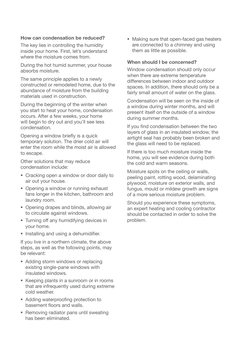## How can condensation be reduced?

The key lies in controlling the humidity inside your home. First, let's understand where the moisture comes from.

During the hot humid summer, your house absorbs moisture.

The same principle applies to a newly constructed or remodeled home, due to the abundance of moisture from the building materials used in construction.

During the beginning of the winter when you start to heat your home, condensation occurs. After a few weeks, your home will begin to dry out and you'll see less condensation.

Opening a window briefly is a quick temporary solution. The drier cold air will enter the room while the moist air is allowed to escape.

Other solutions that may reduce condensation include:

- Cracking open a window or door daily to air out your house.
- Opening a window or running exhaust fans longer in the kitchen, bathroom and laundry room.
- Opening drapes and blinds, allowing air to circulate against windows.
- **Turning off any humidifying devices in** your home.
- **Installing and using a dehumidifier.**

If you live in a northern climate, the above steps, as well as the following points, may be relevant:

- Adding storm windows or replacing existing single-pane windows with insulated windows.
- Keeping plants in a sunroom or in rooms that are infrequently used during extreme cold weather.
- Adding waterproofing protection to basement floors and walls.
- Removing radiator pans until sweating has been eliminated.

 Making sure that open-faced gas heaters are connected to a chimney and using them as little as possible.

# When should I be concerned?

Window condensation should only occur when there are extreme temperature differences between indoor and outdoor spaces. In addition, there should only be a fairly small amount of water on the glass.

Condensation will be seen on the inside of a window during winter months, and will present itself on the outside of a window during summer months.

If you find condensation between the two layers of glass in an insulated window, the airtight seal has probably been broken and the glass will need to be replaced.

If there is too much moisture inside the home, you will see evidence during both the cold and warm seasons.

Moisture spots on the ceiling or walls, peeling paint, rotting wood, delaminating plywood, moisture on exterior walls, and fungus, mould or mildew growth are signs of a more serious moisture problem.

Should you experience these symptoms, an expert heating and cooling contractor should be contacted in order to solve the problem.